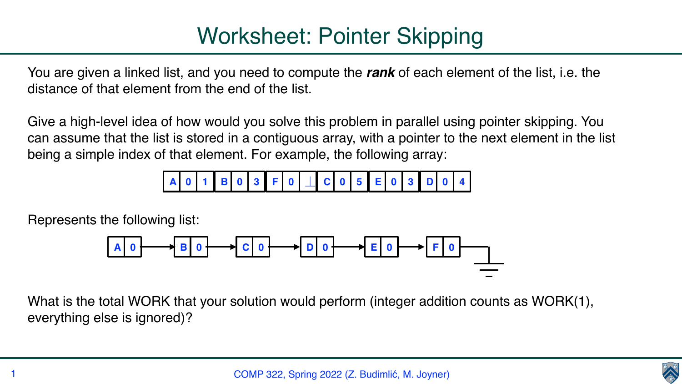You are given a linked list, and you need to compute the *rank* of each element of the list, i.e. the distance of that element from the end of the list.

Give a high-level idea of how would you solve this problem in parallel using pointer skipping. You can assume that the list is stored in a contiguous array, with a pointer to the next element in the list being a simple index of that element. For example, the following array:

Represents the following list:

What is the total WORK that your solution would perform (integer addition counts as WORK(1), everything else is ignored)?





**A 0 1 B 0 3 F 0** ⏊ **C 0 5 E 0 3 D 0 4**

$$
A \bigcup \longrightarrow B \bigcup \bigcap C \bigcap \bigcap D \bigcap \bigcap C \bigcap \bigcap D \bigcap C \longrightarrow E \bigcap C \longrightarrow F \bigcap D
$$